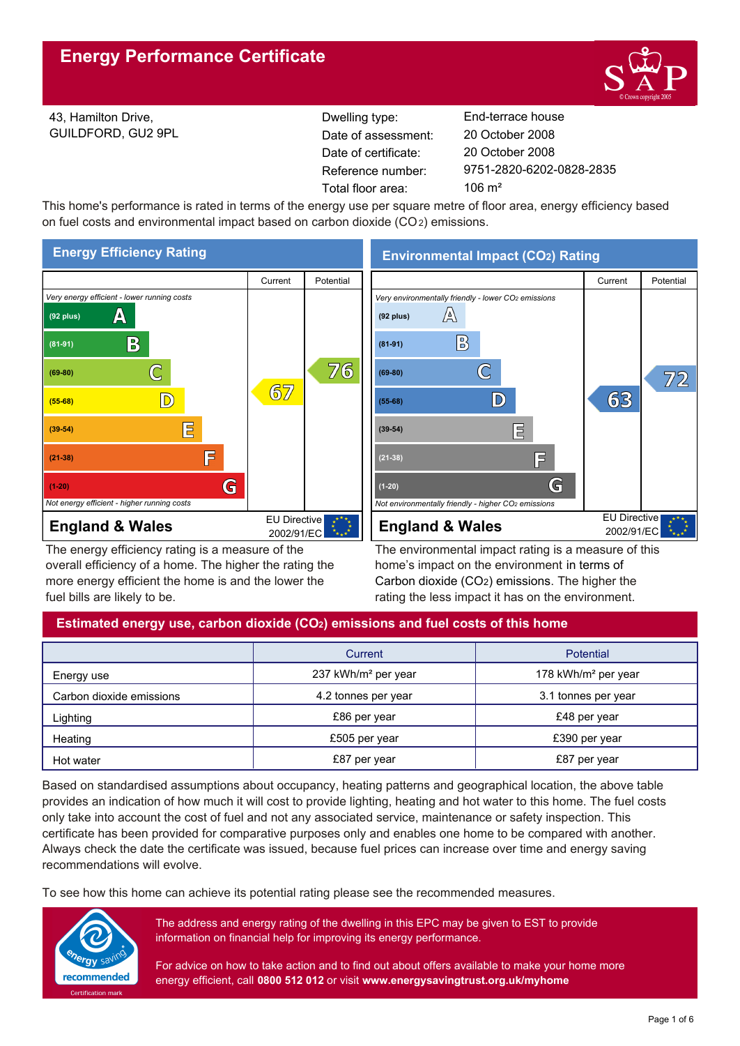

43, Hamilton Drive, GUILDFORD, GU2 9PL Reference number: Dwelling type: End-terrace house Date of certificate: Total floor area: 106 m<sup>2</sup> Date of assessment:

9751-2820-6202-0828-2835 20 October 2008 20 October 2008

This home's performance is rated in terms of the energy use per square metre of floor area, energy efficiency based on fuel costs and environmental impact based on carbon dioxide (CO2) emissions.



The energy efficiency rating is a measure of the overall efficiency of a home. The higher the rating the more energy efficient the home is and the lower the fuel bills are likely to be.

**Environmental Impact (CO2) Rating**



The environmental impact rating is a measure of this home's impact on the environment in terms of Carbon dioxide (CO2) emissions. The higher the rating the less impact it has on the environment.

# **Estimated energy use, carbon dioxide (CO2) emissions and fuel costs of this home**

|                          | Current                         | <b>Potential</b>                |  |
|--------------------------|---------------------------------|---------------------------------|--|
| Energy use               | 237 kWh/m <sup>2</sup> per year | 178 kWh/m <sup>2</sup> per year |  |
| Carbon dioxide emissions | 4.2 tonnes per year             | 3.1 tonnes per year             |  |
| Lighting                 | £86 per year                    | £48 per year                    |  |
| Heating                  | £505 per year                   | £390 per year                   |  |
| Hot water                | £87 per year                    | £87 per year                    |  |

Based on standardised assumptions about occupancy, heating patterns and geographical location, the above table provides an indication of how much it will cost to provide lighting, heating and hot water to this home. The fuel costs only take into account the cost of fuel and not any associated service, maintenance or safety inspection. This certificate has been provided for comparative purposes only and enables one home to be compared with another. Always check the date the certificate was issued, because fuel prices can increase over time and energy saving recommendations will evolve.

To see how this home can achieve its potential rating please see the recommended measures.



The address and energy rating of the dwelling in this EPC may be given to EST to provide information on financial help for improving its energy performance.

For advice on how to take action and to find out about offers available to make your home more energy efficient, call **0800 512 012** or visit **www.energysavingtrust.org.uk/myhome**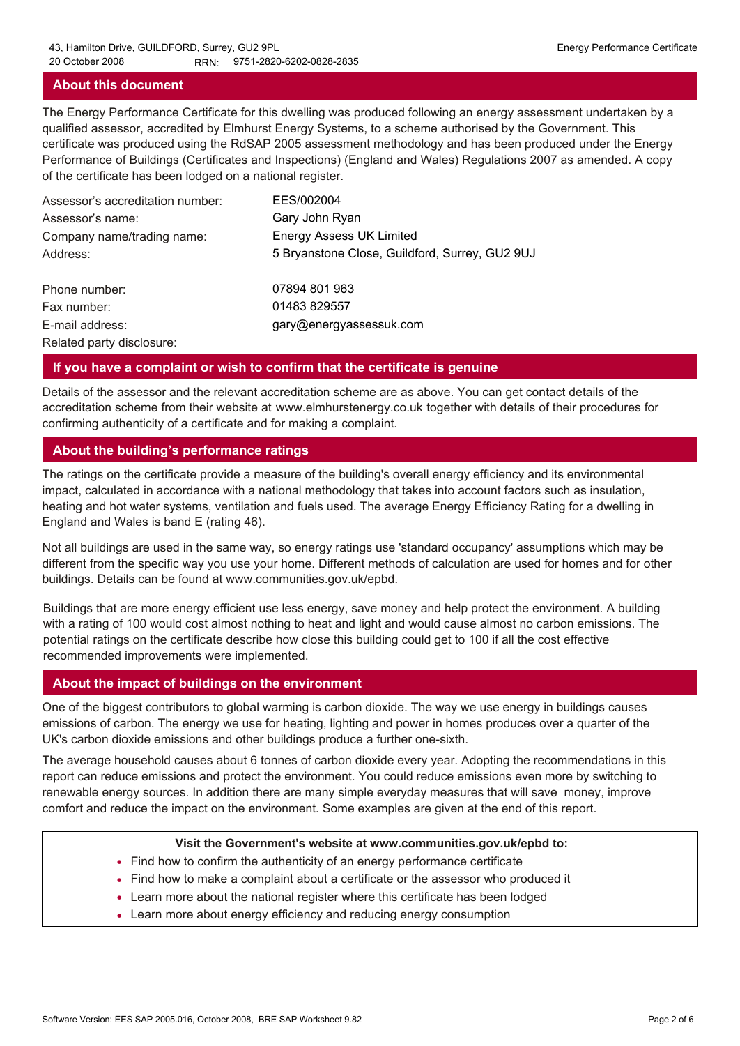### **About this document**

The Energy Performance Certificate for this dwelling was produced following an energy assessment undertaken by a qualified assessor, accredited by Elmhurst Energy Systems, to a scheme authorised by the Government. This certificate was produced using the RdSAP 2005 assessment methodology and has been produced under the Energy Performance of Buildings (Certificates and Inspections) (England and Wales) Regulations 2007 as amended. A copy of the certificate has been lodged on a national register.

| Assessor's accreditation number: | EES/002004                                     |
|----------------------------------|------------------------------------------------|
| Assessor's name:                 | Gary John Ryan                                 |
| Company name/trading name:       | <b>Energy Assess UK Limited</b>                |
| Address:                         | 5 Bryanstone Close, Guildford, Surrey, GU2 9UJ |
| Phone number:                    | 07894 801 963                                  |
| Fax number:                      | 01483 829557                                   |
| E-mail address:                  | gary@energyassessuk.com                        |
| Related party disclosure:        |                                                |

### **If you have a complaint or wish to confirm that the certificate is genuine**

Details of the assessor and the relevant accreditation scheme are as above. You can get contact details of the accreditation scheme from their website at www.elmhurstenergy.co.uk together with details of their procedures for confirming authenticity of a certificate and for making a complaint.

# **About the building's performance ratings**

The ratings on the certificate provide a measure of the building's overall energy efficiency and its environmental impact, calculated in accordance with a national methodology that takes into account factors such as insulation, heating and hot water systems, ventilation and fuels used. The average Energy Efficiency Rating for a dwelling in England and Wales is band E (rating 46).

Not all buildings are used in the same way, so energy ratings use 'standard occupancy' assumptions which may be different from the specific way you use your home. Different methods of calculation are used for homes and for other buildings. Details can be found at www.communities.gov.uk/epbd.

Buildings that are more energy efficient use less energy, save money and help protect the environment. A building with a rating of 100 would cost almost nothing to heat and light and would cause almost no carbon emissions. The potential ratings on the certificate describe how close this building could get to 100 if all the cost effective recommended improvements were implemented.

### **About the impact of buildings on the environment**

One of the biggest contributors to global warming is carbon dioxide. The way we use energy in buildings causes emissions of carbon. The energy we use for heating, lighting and power in homes produces over a quarter of the UK's carbon dioxide emissions and other buildings produce a further one-sixth.

The average household causes about 6 tonnes of carbon dioxide every year. Adopting the recommendations in this report can reduce emissions and protect the environment. You could reduce emissions even more by switching to renewable energy sources. In addition there are many simple everyday measures that will save money, improve comfort and reduce the impact on the environment. Some examples are given at the end of this report.

#### **Visit the Government's website at www.communities.gov.uk/epbd to:**

- Find how to confirm the authenticity of an energy performance certificate
- Find how to make a complaint about a certificate or the assessor who produced it •
- Learn more about the national register where this certificate has been lodged •
- Learn more about energy efficiency and reducing energy consumption •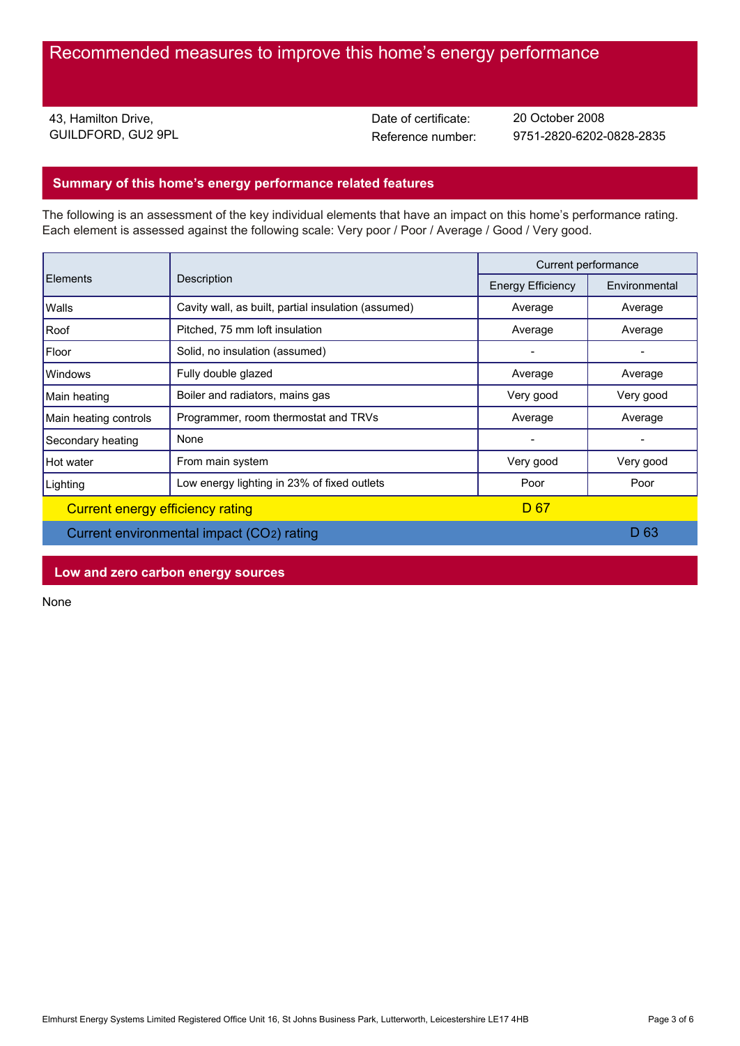43, Hamilton Drive, GUILDFORD, GU2 9PL Date of certificate:

Reference number: 9751-2820-6202-0828-2835 20 October 2008

# **Summary of this home's energy performance related features**

The following is an assessment of the key individual elements that have an impact on this home's performance rating. Each element is assessed against the following scale: Very poor / Poor / Average / Good / Very good.

| Elements                         | Description                                         | Current performance      |               |
|----------------------------------|-----------------------------------------------------|--------------------------|---------------|
|                                  |                                                     | <b>Energy Efficiency</b> | Environmental |
| Walls                            | Cavity wall, as built, partial insulation (assumed) | Average                  | Average       |
| Roof                             | Pitched, 75 mm loft insulation                      | Average                  | Average       |
| Floor                            | Solid, no insulation (assumed)                      |                          |               |
| <b>Windows</b>                   | Fully double glazed                                 | Average                  | Average       |
| Main heating                     | Boiler and radiators, mains gas                     | Very good                | Very good     |
| Main heating controls            | Programmer, room thermostat and TRVs                | Average                  | Average       |
| Secondary heating                | None                                                |                          |               |
| Hot water                        | From main system                                    | Very good                | Very good     |
| Lighting                         | Low energy lighting in 23% of fixed outlets         | Poor                     | Poor          |
| Current energy efficiency rating |                                                     | D 67                     |               |
|                                  |                                                     |                          |               |

Current environmental impact (CO2) rating D 63

### **Low and zero carbon energy sources**

None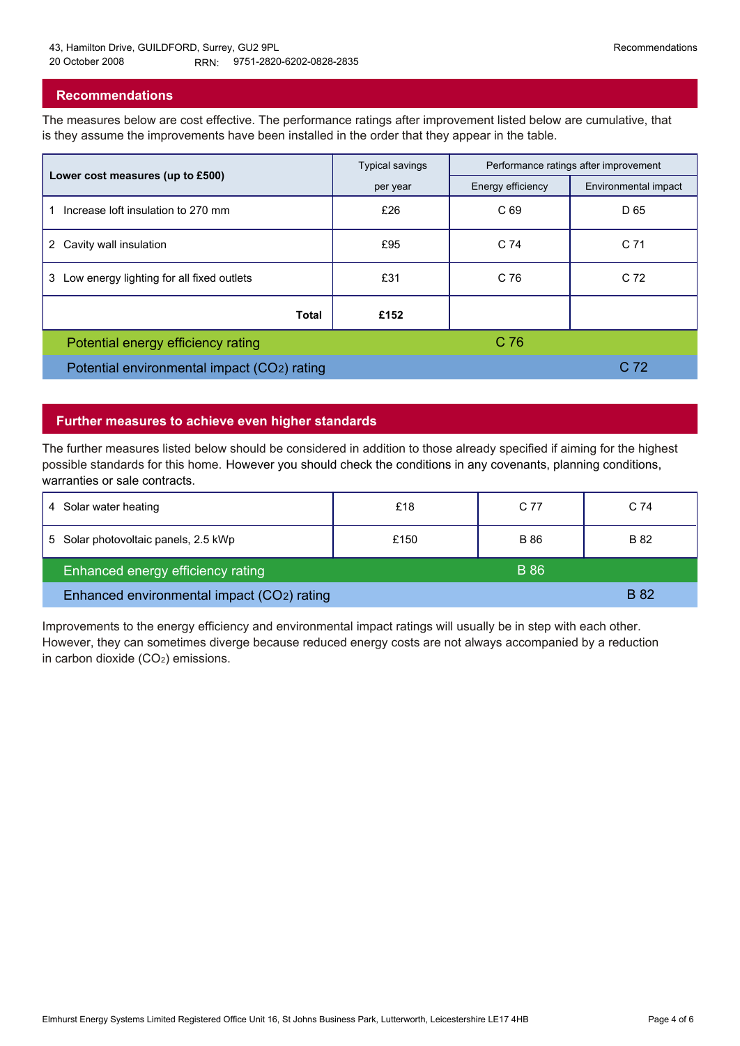### **Recommendations**

The measures below are cost effective. The performance ratings after improvement listed below are cumulative, that is they assume the improvements have been installed in the order that they appear in the table.

|                                                | <b>Typical savings</b> | Performance ratings after improvement |                      |
|------------------------------------------------|------------------------|---------------------------------------|----------------------|
| Lower cost measures (up to £500)               | per year               | Energy efficiency                     | Environmental impact |
| Increase loft insulation to 270 mm             | £26                    | C <sub>69</sub>                       | D 65                 |
| Cavity wall insulation<br>$^{2}$               | £95                    | C 74                                  | C <sub>71</sub>      |
| Low energy lighting for all fixed outlets<br>3 | £31                    | C 76                                  | C <sub>72</sub>      |
| Total                                          | £152                   |                                       |                      |
| Potential energy efficiency rating             |                        | C <sub>76</sub>                       |                      |
| Potential environmental impact (CO2) rating    |                        |                                       | C <sub>72</sub>      |

### **Further measures to achieve even higher standards**

The further measures listed below should be considered in addition to those already specified if aiming for the highest possible standards for this home. However you should check the conditions in any covenants, planning conditions, warranties or sale contracts.

| Solar water heating<br>4                   | £18  | C 77        | C 74        |
|--------------------------------------------|------|-------------|-------------|
| 5 Solar photovoltaic panels, 2.5 kWp       | £150 | <b>B</b> 86 | B 82        |
| Enhanced energy efficiency rating          |      | <b>B</b> 86 |             |
| Enhanced environmental impact (CO2) rating |      |             | <b>B</b> 82 |

Improvements to the energy efficiency and environmental impact ratings will usually be in step with each other. However, they can sometimes diverge because reduced energy costs are not always accompanied by a reduction in carbon dioxide (CO2) emissions.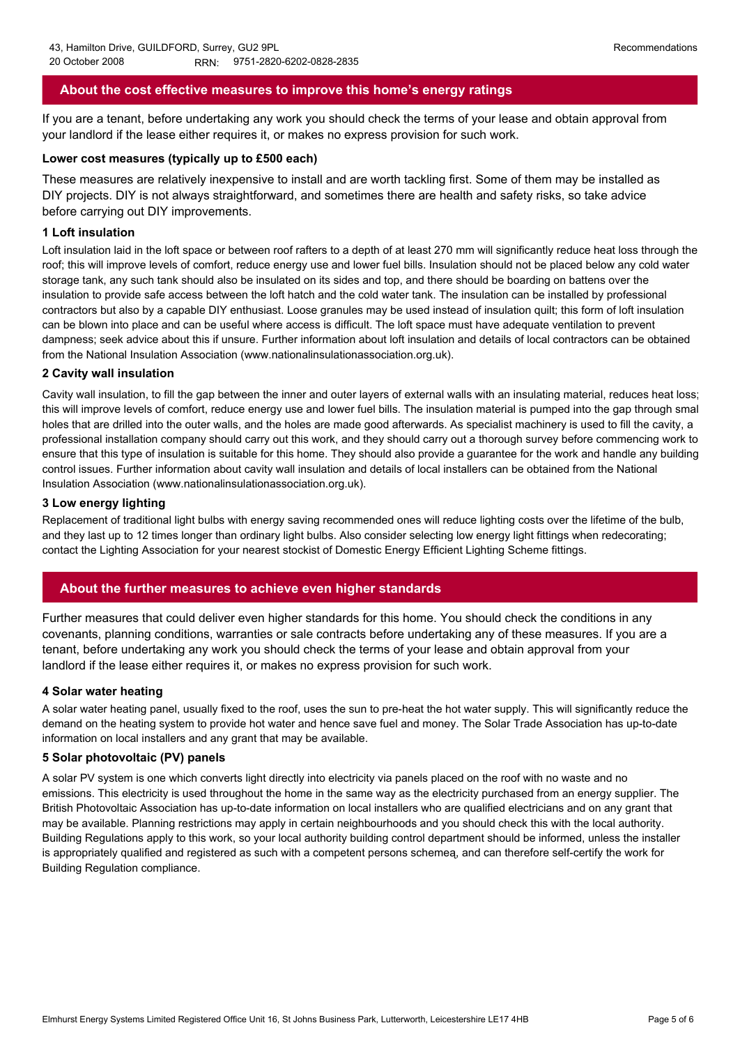## **About the cost effective measures to improve this home's energy ratings**

If you are a tenant, before undertaking any work you should check the terms of your lease and obtain approval from your landlord if the lease either requires it, or makes no express provision for such work.

#### **Lower cost measures (typically up to £500 each)**

These measures are relatively inexpensive to install and are worth tackling first. Some of them may be installed as DIY projects. DIY is not always straightforward, and sometimes there are health and safety risks, so take advice before carrying out DIY improvements.

#### **1 Loft insulation**

Loft insulation laid in the loft space or between roof rafters to a depth of at least 270 mm will significantly reduce heat loss through the roof; this will improve levels of comfort, reduce energy use and lower fuel bills. Insulation should not be placed below any cold water storage tank, any such tank should also be insulated on its sides and top, and there should be boarding on battens over the insulation to provide safe access between the loft hatch and the cold water tank. The insulation can be installed by professional contractors but also by a capable DIY enthusiast. Loose granules may be used instead of insulation quilt; this form of loft insulation can be blown into place and can be useful where access is difficult. The loft space must have adequate ventilation to prevent dampness; seek advice about this if unsure. Further information about loft insulation and details of local contractors can be obtained from the National Insulation Association (www.nationalinsulationassociation.org.uk).

#### **2 Cavity wall insulation**

Cavity wall insulation, to fill the gap between the inner and outer layers of external walls with an insulating material, reduces heat loss; this will improve levels of comfort, reduce energy use and lower fuel bills. The insulation material is pumped into the gap through small holes that are drilled into the outer walls, and the holes are made good afterwards. As specialist machinery is used to fill the cavity, a professional installation company should carry out this work, and they should carry out a thorough survey before commencing work to ensure that this type of insulation is suitable for this home. They should also provide a guarantee for the work and handle any building control issues. Further information about cavity wall insulation and details of local installers can be obtained from the National Insulation Association (www.nationalinsulationassociation.org.uk).

#### **3 Low energy lighting**

Replacement of traditional light bulbs with energy saving recommended ones will reduce lighting costs over the lifetime of the bulb, and they last up to 12 times longer than ordinary light bulbs. Also consider selecting low energy light fittings when redecorating; contact the Lighting Association for your nearest stockist of Domestic Energy Efficient Lighting Scheme fittings.

#### **About the further measures to achieve even higher standards**

Further measures that could deliver even higher standards for this home. You should check the conditions in any covenants, planning conditions, warranties or sale contracts before undertaking any of these measures. If you are a tenant, before undertaking any work you should check the terms of your lease and obtain approval from your landlord if the lease either requires it, or makes no express provision for such work.

#### **4 Solar water heating**

A solar water heating panel, usually fixed to the roof, uses the sun to pre-heat the hot water supply. This will significantly reduce the demand on the heating system to provide hot water and hence save fuel and money. The Solar Trade Association has up-to-date information on local installers and any grant that may be available.

#### **5 Solar photovoltaic (PV) panels**

A solar PV system is one which converts light directly into electricity via panels placed on the roof with no waste and no emissions. This electricity is used throughout the home in the same way as the electricity purchased from an energy supplier. The British Photovoltaic Association has up-to-date information on local installers who are qualified electricians and on any grant that may be available. Planning restrictions may apply in certain neighbourhoods and you should check this with the local authority. Building Regulations apply to this work, so your local authority building control department should be informed, unless the installer is appropriately qualified and registered as such with a competent persons schemeą, and can therefore self-certify the work for Building Regulation compliance.